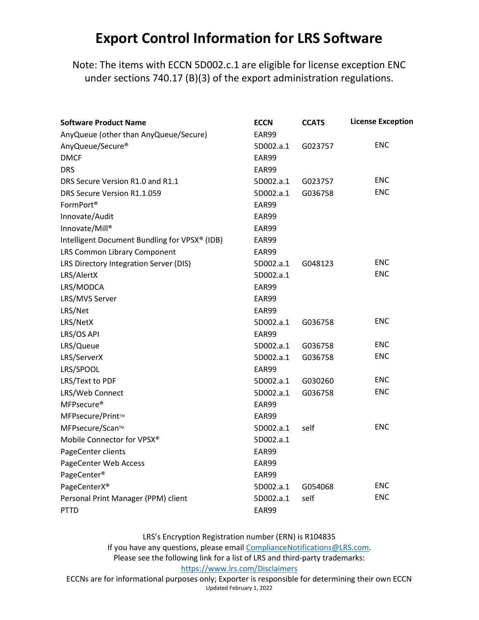## Export Control Information for LRS Software

Note: The items with ECCN 5D002.c.1 are eligible for license exception ENC under sections 740.17 (B)(3) of the export administration regulations.

| <b>Software Product Name</b>                  | <b>ECCN</b> | <b>CCATS</b> | <b>License Exception</b> |
|-----------------------------------------------|-------------|--------------|--------------------------|
| AnyQueue (other than AnyQueue/Secure)         | EAR99       |              |                          |
| AnyQueue/Secure®                              | 5D002.a.1   | G023757      | <b>ENC</b>               |
| <b>DMCF</b>                                   | EAR99       |              |                          |
| <b>DRS</b>                                    | EAR99       |              |                          |
| DRS Secure Version R1.0 and R1.1              | 5D002.a.1   | G023757      | <b>ENC</b>               |
| DRS Secure Version R1.1.059                   | 5D002.a.1   | G036758      | <b>ENC</b>               |
| FormPort <sup>®</sup>                         | EAR99       |              |                          |
| Innovate/Audit                                | EAR99       |              |                          |
| Innovate/Mill®                                | EAR99       |              |                          |
| Intelligent Document Bundling for VPSX® (IDB) | EAR99       |              |                          |
| LRS Common Library Component                  | EAR99       |              |                          |
| LRS Directory Integration Server (DIS)        | 5D002.a.1   | G048123      | <b>ENC</b>               |
| LRS/AlertX                                    | 5D002.a.1   |              | <b>ENC</b>               |
| LRS/MODCA                                     | EAR99       |              |                          |
| LRS/MVS Server                                | EAR99       |              |                          |
| LRS/Net                                       | EAR99       |              |                          |
| LRS/NetX                                      | 5D002.a.1   | G036758      | <b>ENC</b>               |
| LRS/OS API                                    | EAR99       |              |                          |
| LRS/Queue                                     | 5D002.a.1   | G036758      | <b>ENC</b>               |
| LRS/ServerX                                   | 5D002.a.1   | G036758      | <b>ENC</b>               |
| LRS/SPOOL                                     | EAR99       |              |                          |
| LRS/Text to PDF                               | 5D002.a.1   | G030260      | <b>ENC</b>               |
| LRS/Web Connect                               | 5D002.a.1   | G036758      | <b>ENC</b>               |
| MFPsecure <sup>®</sup>                        | EAR99       |              |                          |
| MFPsecure/Print™                              | EAR99       |              |                          |
| MFPsecure/Scan™                               | 5D002.a.1   | self         | <b>ENC</b>               |
| Mobile Connector for VPSX®                    | 5D002.a.1   |              |                          |
| PageCenter clients                            | EAR99       |              |                          |
| PageCenter Web Access                         | EAR99       |              |                          |
| PageCenter®                                   | EAR99       |              |                          |
| PageCenterX <sup>®</sup>                      | 5D002.a.1   | G054068      | <b>ENC</b>               |
| Personal Print Manager (PPM) client           | 5D002.a.1   | self         | <b>ENC</b>               |
| <b>PTTD</b>                                   | EAR99       |              |                          |

LRS's Encryption Registration number (ERN) is R104835

If you have any questions, please email ComplianceNotifications@LRS.com. Please see the following link for a list of LRS and third‐party trademarks: https://www.lrs.com/Disclaimers

ECCNs are for informational purposes only; Exporter is responsible for determining their own ECCN Updated February 1, 2022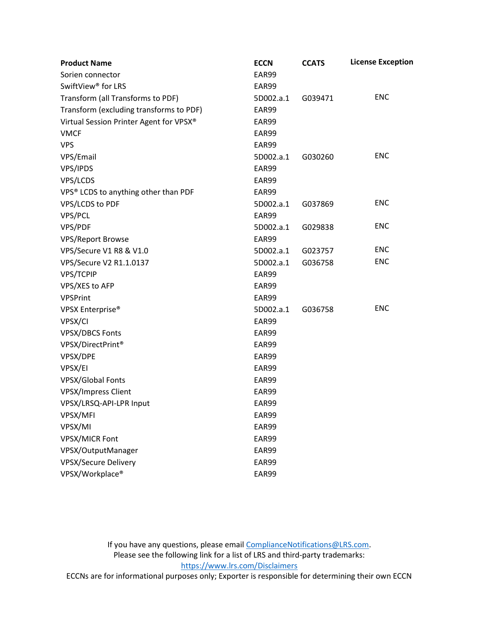| <b>Product Name</b>                     | <b>ECCN</b> | <b>CCATS</b> | <b>License Exception</b> |
|-----------------------------------------|-------------|--------------|--------------------------|
| Sorien connector                        | EAR99       |              |                          |
| SwiftView <sup>®</sup> for LRS          | EAR99       |              |                          |
| Transform (all Transforms to PDF)       | 5D002.a.1   | G039471      | <b>ENC</b>               |
| Transform (excluding transforms to PDF) | EAR99       |              |                          |
| Virtual Session Printer Agent for VPSX® | EAR99       |              |                          |
| <b>VMCF</b>                             | EAR99       |              |                          |
| <b>VPS</b>                              | EAR99       |              |                          |
| VPS/Email                               | 5D002.a.1   | G030260      | <b>ENC</b>               |
| VPS/IPDS                                | EAR99       |              |                          |
| VPS/LCDS                                | EAR99       |              |                          |
| VPS® LCDS to anything other than PDF    | EAR99       |              |                          |
| VPS/LCDS to PDF                         | 5D002.a.1   | G037869      | <b>ENC</b>               |
| VPS/PCL                                 | EAR99       |              |                          |
| VPS/PDF                                 | 5D002.a.1   | G029838      | <b>ENC</b>               |
| <b>VPS/Report Browse</b>                | EAR99       |              |                          |
| VPS/Secure V1 R8 & V1.0                 | 5D002.a.1   | G023757      | <b>ENC</b>               |
| VPS/Secure V2 R1.1.0137                 | 5D002.a.1   | G036758      | <b>ENC</b>               |
| VPS/TCPIP                               | EAR99       |              |                          |
| VPS/XES to AFP                          | EAR99       |              |                          |
| <b>VPSPrint</b>                         | EAR99       |              |                          |
| VPSX Enterprise <sup>®</sup>            | 5D002.a.1   | G036758      | <b>ENC</b>               |
| VPSX/CI                                 | EAR99       |              |                          |
| <b>VPSX/DBCS Fonts</b>                  | EAR99       |              |                          |
| VPSX/DirectPrint®                       | EAR99       |              |                          |
| VPSX/DPE                                | EAR99       |              |                          |
| VPSX/EI                                 | EAR99       |              |                          |
| <b>VPSX/Global Fonts</b>                | EAR99       |              |                          |
| <b>VPSX/Impress Client</b>              | EAR99       |              |                          |
| VPSX/LRSQ-API-LPR Input                 | EAR99       |              |                          |
| VPSX/MFI                                | EAR99       |              |                          |
| VPSX/MI                                 | EAR99       |              |                          |
| <b>VPSX/MICR Font</b>                   | EAR99       |              |                          |
| VPSX/OutputManager                      | EAR99       |              |                          |
| <b>VPSX/Secure Delivery</b>             | EAR99       |              |                          |
| VPSX/Workplace®                         | EAR99       |              |                          |

If you have any questions, please email ComplianceNotifications@LRS.com. Please see the following link for a list of LRS and third‐party trademarks: https://www.lrs.com/Disclaimers

ECCNs are for informational purposes only; Exporter is responsible for determining their own ECCN